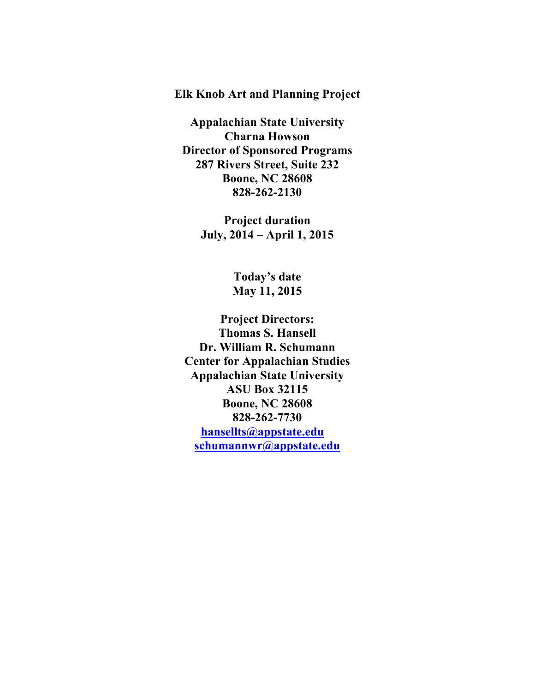**Elk Knob Art and Planning Project**

**Appalachian State University Charna Howson Director of Sponsored Programs 287 Rivers Street, Suite 232 Boone, NC 28608 828-262-2130**

> **Project duration July, 2014 – April 1, 2015**

> > **Today's date May 11, 2015**

**Project Directors: Thomas S. Hansell Dr. William R. Schumann Center for Appalachian Studies Appalachian State University ASU Box 32115 Boone, NC 28608 828-262-7730 hansellts@appstate.edu schumannwr@appstate.edu**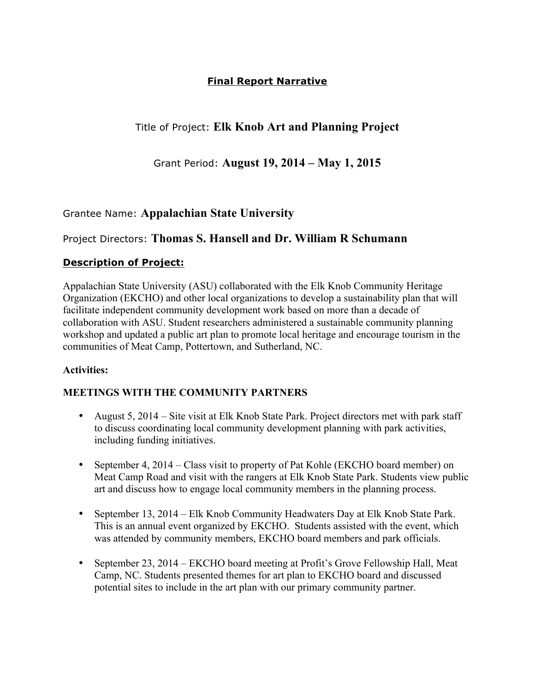## **Final Report Narrative**

# Title of Project: **Elk Knob Art and Planning Project**

Grant Period: **August 19, 2014 – May 1, 2015**

## Grantee Name: **Appalachian State University**

## Project Directors: **Thomas S. Hansell and Dr. William R Schumann**

## **Description of Project:**

Appalachian State University (ASU) collaborated with the Elk Knob Community Heritage Organization (EKCHO) and other local organizations to develop a sustainability plan that will facilitate independent community development work based on more than a decade of collaboration with ASU. Student researchers administered a sustainable community planning workshop and updated a public art plan to promote local heritage and encourage tourism in the communities of Meat Camp, Pottertown, and Sutherland, NC.

## **Activities:**

#### **MEETINGS WITH THE COMMUNITY PARTNERS**

- August 5, 2014 Site visit at Elk Knob State Park. Project directors met with park staff to discuss coordinating local community development planning with park activities, including funding initiatives.
- September 4, 2014 Class visit to property of Pat Kohle (EKCHO board member) on Meat Camp Road and visit with the rangers at Elk Knob State Park. Students view public art and discuss how to engage local community members in the planning process.
- September 13, 2014 Elk Knob Community Headwaters Day at Elk Knob State Park. This is an annual event organized by EKCHO. Students assisted with the event, which was attended by community members, EKCHO board members and park officials.
- September 23, 2014 EKCHO board meeting at Profit's Grove Fellowship Hall, Meat Camp, NC. Students presented themes for art plan to EKCHO board and discussed potential sites to include in the art plan with our primary community partner.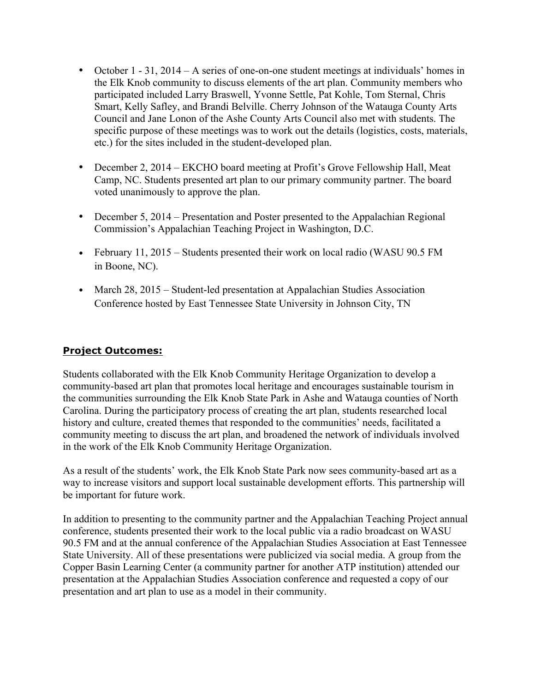- October 1 31, 2014 A series of one-on-one student meetings at individuals' homes in the Elk Knob community to discuss elements of the art plan. Community members who participated included Larry Braswell, Yvonne Settle, Pat Kohle, Tom Sternal, Chris Smart, Kelly Safley, and Brandi Belville. Cherry Johnson of the Watauga County Arts Council and Jane Lonon of the Ashe County Arts Council also met with students. The specific purpose of these meetings was to work out the details (logistics, costs, materials, etc.) for the sites included in the student-developed plan.
- December 2, 2014 EKCHO board meeting at Profit's Grove Fellowship Hall, Meat Camp, NC. Students presented art plan to our primary community partner. The board voted unanimously to approve the plan.
- December 5, 2014 Presentation and Poster presented to the Appalachian Regional Commission's Appalachian Teaching Project in Washington, D.C.
- February 11, 2015 Students presented their work on local radio (WASU 90.5 FM in Boone, NC).
- March 28, 2015 Student-led presentation at Appalachian Studies Association Conference hosted by East Tennessee State University in Johnson City, TN

### **Project Outcomes:**

Students collaborated with the Elk Knob Community Heritage Organization to develop a community-based art plan that promotes local heritage and encourages sustainable tourism in the communities surrounding the Elk Knob State Park in Ashe and Watauga counties of North Carolina. During the participatory process of creating the art plan, students researched local history and culture, created themes that responded to the communities' needs, facilitated a community meeting to discuss the art plan, and broadened the network of individuals involved in the work of the Elk Knob Community Heritage Organization.

As a result of the students' work, the Elk Knob State Park now sees community-based art as a way to increase visitors and support local sustainable development efforts. This partnership will be important for future work.

In addition to presenting to the community partner and the Appalachian Teaching Project annual conference, students presented their work to the local public via a radio broadcast on WASU 90.5 FM and at the annual conference of the Appalachian Studies Association at East Tennessee State University. All of these presentations were publicized via social media. A group from the Copper Basin Learning Center (a community partner for another ATP institution) attended our presentation at the Appalachian Studies Association conference and requested a copy of our presentation and art plan to use as a model in their community.